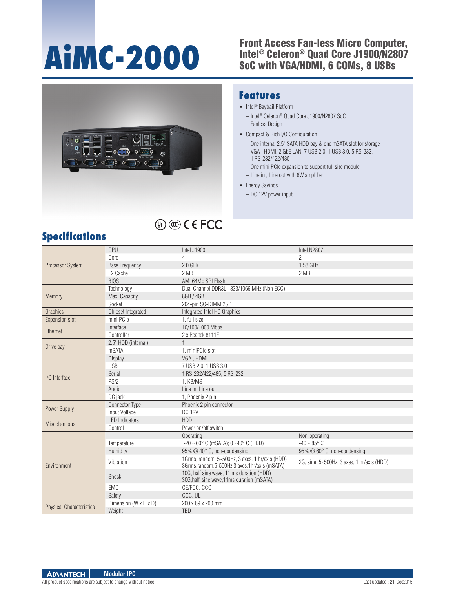# **AiMC-2000**

#### Front Access Fan-less Micro Computer, Intel® Celeron® Quad Core J1900/N2807 SoC with VGA/HDMI, 6 COMs, 8 USBs



**® UL**

#### **Features**

- Intel<sup>®</sup> Baytrail Platform
	- Intel® Celeron® Quad Core J1900/N2807 SoC
	- Fanless Design
- Compact & Rich I/O Configuration
	- One internal 2.5" SATA HDD bay & one mSATA slot for storage
	- VGA , HDMI, 2 GbE LAN, 7 USB 2.0, 1 USB 3.0, 5 RS-232, 1 RS-232/422/485
	- One mini PCIe expansion to support full size module
	- Line in , Line out with 6W amplifier
- **Energy Savings** 
	- DC 12V power input

### **Specifications**

|                                 | CPU                       | Intel J1900                                                                                         | Intel N2807                                |
|---------------------------------|---------------------------|-----------------------------------------------------------------------------------------------------|--------------------------------------------|
| <b>Processor System</b>         | Core                      | 4                                                                                                   | $\overline{2}$                             |
|                                 | <b>Base Frequency</b>     | $2.0$ GHz                                                                                           | 1.58 GHz                                   |
|                                 | L <sub>2</sub> Cache      | 2 MB                                                                                                | 2 MB                                       |
|                                 | <b>BIOS</b>               | AMI 64Mb SPI Flash                                                                                  |                                            |
|                                 | Technology                | Dual Channel DDR3L 1333/1066 MHz (Non ECC)                                                          |                                            |
| Memory                          | Max. Capacity             | 8GB / 4GB                                                                                           |                                            |
|                                 | Socket                    | 204-pin SO-DIMM 2 / 1                                                                               |                                            |
| Graphics                        | <b>Chipset Integrated</b> | Integrated Intel HD Graphics                                                                        |                                            |
| <b>Expansion slot</b>           | mini PCIe                 | 1, full size                                                                                        |                                            |
| Ethernet                        | Interface                 | 10/100/1000 Mbps                                                                                    |                                            |
|                                 | Controller                | 2 x Realtek 8111E                                                                                   |                                            |
| Drive bay                       | 2.5" HDD (internal)       |                                                                                                     |                                            |
|                                 | mSATA                     | 1, miniPCle slot                                                                                    |                                            |
|                                 | Display                   | VGA, HDMI                                                                                           |                                            |
|                                 | <b>USB</b>                | 7 USB 2.0, 1 USB 3.0                                                                                |                                            |
| I/O Interface                   | Serial                    | 1 RS-232/422/485, 5 RS-232                                                                          |                                            |
|                                 | PS/2                      | 1, KB/MS                                                                                            |                                            |
|                                 | Audio                     | Line in. Line out                                                                                   |                                            |
|                                 | DC jack                   | 1, Phoenix 2 pin                                                                                    |                                            |
| Power Supply                    | <b>Connector Type</b>     | Phoenix 2 pin connector                                                                             |                                            |
|                                 | Input Voltage             | <b>DC 12V</b>                                                                                       |                                            |
| <b>Miscellaneous</b>            | <b>LED Indicators</b>     | <b>HDD</b>                                                                                          |                                            |
|                                 | Control                   | Power on/off switch                                                                                 |                                            |
| Environment                     |                           | Operating                                                                                           | Non-operating                              |
|                                 | Temperature               | $-20 \sim 60^{\circ}$ C (mSATA); 0 $-40^{\circ}$ C (HDD)                                            | $-40 \sim 85^{\circ}$ C                    |
|                                 | Humidity                  | 95% @ 40° C, non-condensing                                                                         | 95% @ 60° C, non-condensing                |
|                                 | Vibration                 | 1Grms, random, 5~500Hz, 3 axes, 1 hr/axis (HDD)<br>3Grms, random, 5-500Hz, 3 axes, 1hr/axis (mSATA) | 2G, sine, 5~500Hz, 3 axes, 1 hr/axis (HDD) |
|                                 | Shock                     | 10G, half sine wave, 11 ms duration (HDD)<br>30G, half-sine wave, 11ms duration (mSATA)             |                                            |
|                                 | EMC                       | CE/FCC, CCC                                                                                         |                                            |
|                                 | Safety                    | CCC, UL                                                                                             |                                            |
| <b>Physical Characteristics</b> | Dimension (W x H x D)     | 200 x 69 x 200 mm                                                                                   |                                            |
|                                 | Weight                    | <b>TBD</b>                                                                                          |                                            |

#### **ADVANTECH Modular IPC**

All product specifications are subject to change without notice Last updated : 21-Dec2015